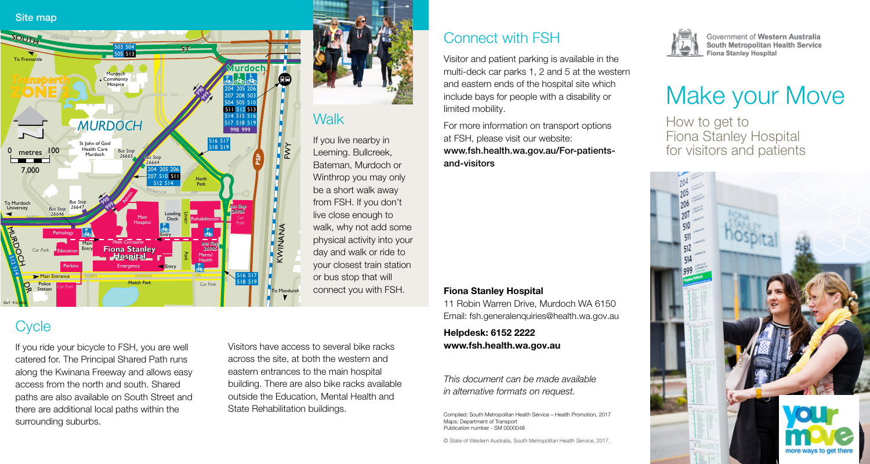#### Site map



#### **Walk**

If you live nearby in Leeming. Bullcreek, Bateman, Murdoch or Winthrop you may only be a short walk away from FSH. If you don't live close enough to walk, why not add some physical activity into your day and walk or ride to your closest train station or bus stop that will connect you with FSH.

# **Cycle**

If you ride your bicycle to FSH, you are well catered for. The Principal Shared Path runs along the Kwinana Freeway and allows easy access from the north and south. Shared paths are also available on South Street and there are additional local paths within the surrounding suburbs.

Visitors have access to several bike racks across the site, at both the western and eastern entrances to the main hospital building. There are also bike racks available outside the Education, Mental Health and State Rehabilitation buildings.

## Connect with FSH

Visitor and patient parking is available in the multi-deck car parks 1, 2 and 5 at the western and eastern ends of the hospital site which include bays for people with a disability or limited mobility.

For more information on transport options at FSH, please visit our website: www.fsh.health.wa.gov.au/For-patientsand-visitors

#### Fiona Stanley Hospital

11 Robin Warren Drive, Murdoch WA 6150 Email: fsh.generalenquiries@health.wa.gov.au

Helpdesk: 6152 2222 www.fsh.health.wa.gov.au

*This document can be made available in alternative formats on request.*

Compiled: South Metropolitan Health Service – Health Promotion, 2017 Maps: Department of Transport Publication number - SM 0000048

© State of Western Australia, South Metropolitan Health Service, 2017.



Government of Western Australia South Metropolitan Health Service **Fiona Stanley Hospital** 

# Make your Move

How to get to Fiona Stanley Hospital for visitors and patients